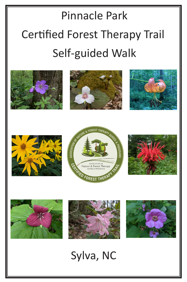# Pinnacle Park Certified Forest Therapy Trail Self-guided Walk



















Sylva, NC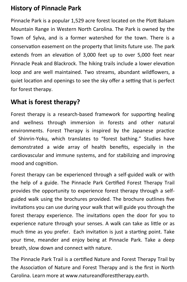## **History of Pinnacle Park**

Pinnacle Park is a popular 1,529 acre forest located on the Plott Balsam Mountain Range in Western North Carolina. The Park is owned by the Town of Sylva, and is a former watershed for the town. There is a conservation easement on the property that limits future use. The park extends from an elevation of 3,000 feet up to over 5,000 feet near Pinnacle Peak and Blackrock. The hiking trails include a lower elevation loop and are well maintained. Two streams, abundant wildflowers, a quiet location and openings to see the sky offer a setting that is perfect for forest therapy.

## **What is forest therapy?**

Forest therapy is a research-based framework for supporting healing and wellness through immersion in forests and other natural environments. Forest Therapy is inspired by the Japanese practice of Shinrin-Yoku, which translates to "forest bathing." Studies have demonstrated a wide array of health benefits, especially in the cardiovascular and immune systems, and for stabilizing and improving mood and cognition.

Forest therapy can be experienced through a self-guided walk or with the help of a guide. The Pinnacle Park Certified Forest Therapy Trail provides the opportunity to experience forest therapy through a selfguided walk using the brochures provided. The brochure outlines five invitations you can use during your walk that will guide you through the forest therapy experience. The invitations open the door for you to experience nature through your senses. A walk can take as little or as much time as you prefer. Each invitation is just a starting point. Take your time, meander and enjoy being at Pinnacle Park. Take a deep breath, slow down and connect with nature.

The Pinnacle Park Trail is a certified Nature and Forest Therapy Trail by the Association of Nature and Forest Therapy and is the first in North Carolina. Learn more at www.natureandforesttherapy.earth.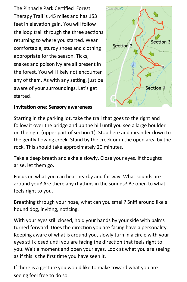The Pinnacle Park Certified Forest Therapy Trail is .45 miles and has 153 feet in elevation gain. You will follow the loop trail through the three sections returning to where you started. Wear comfortable, sturdy shoes and clothing appropriate for the season. Ticks, snakes and poison ivy are all present in the forest. You will likely not encounter any of them. As with any setting, just be aware of your surroundings. Let's get started!



#### **Invitation one: Sensory awareness**

Starting in the parking lot, take the trail that goes to the right and follow it over the bridge and up the hill until you see a large boulder on the right (upper part of section 1). Stop here and meander down to the gently flowing creek. Stand by the creek or in the open area by the rock. This should take approximately 20 minutes.

Take a deep breath and exhale slowly. Close your eyes. If thoughts arise, let them go.

Focus on what you can hear nearby and far way. What sounds are around you? Are there any rhythms in the sounds? Be open to what feels right to you.

Breathing through your nose, what can you smell? Sniff around like a hound dog, inviting, noticing.

With your eyes still closed, hold your hands by your side with palms turned forward. Does the direction you are facing have a personality. Keeping aware of what is around you, slowly turn in a circle with your eyes still closed until you are facing the direction that feels right to you. Wait a moment and open your eyes. Look at what you are seeing as if this is the first time you have seen it.

If there is a gesture you would like to make toward what you are seeing feel free to do so.